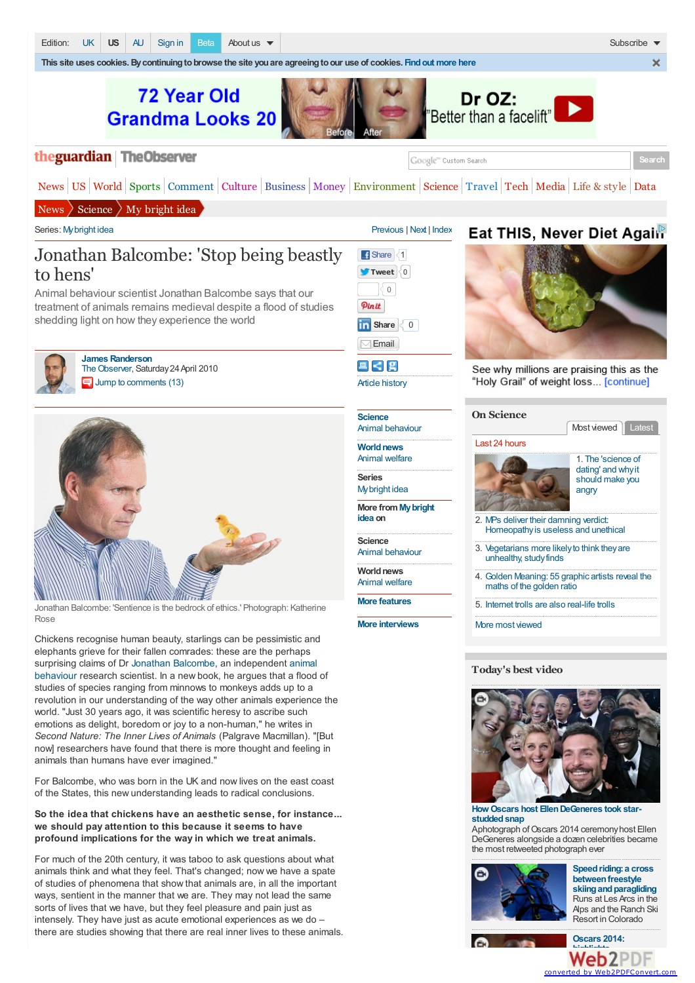

**we should pay attention to this because it seems to have profound implications for the way in which we treat animals.**

For much of the 20th century, it was taboo to ask questions about what animals think and what they feel. That's changed; now we have a spate of studies of phenomena that show that animals are, in all the important ways, sentient in the manner that we are. They may not lead the same sorts of lives that we have, but they feel pleasure and pain just as intensely. They have just as acute emotional experiences as we do – there are studies showing that there are real inner lives to these animals.

<span id="page-0-0"></span>Aphotograph of Oscars 2014 ceremony host Ellen DeGeneres alongside a dozen celebrities became the most retweeted photograph ever





 $A = B$ 

**Web2**PDF converted by [Web2PDFConvert.com](http://www.web2pdfconvert.com?ref=PDF)

**Oscars 2014:**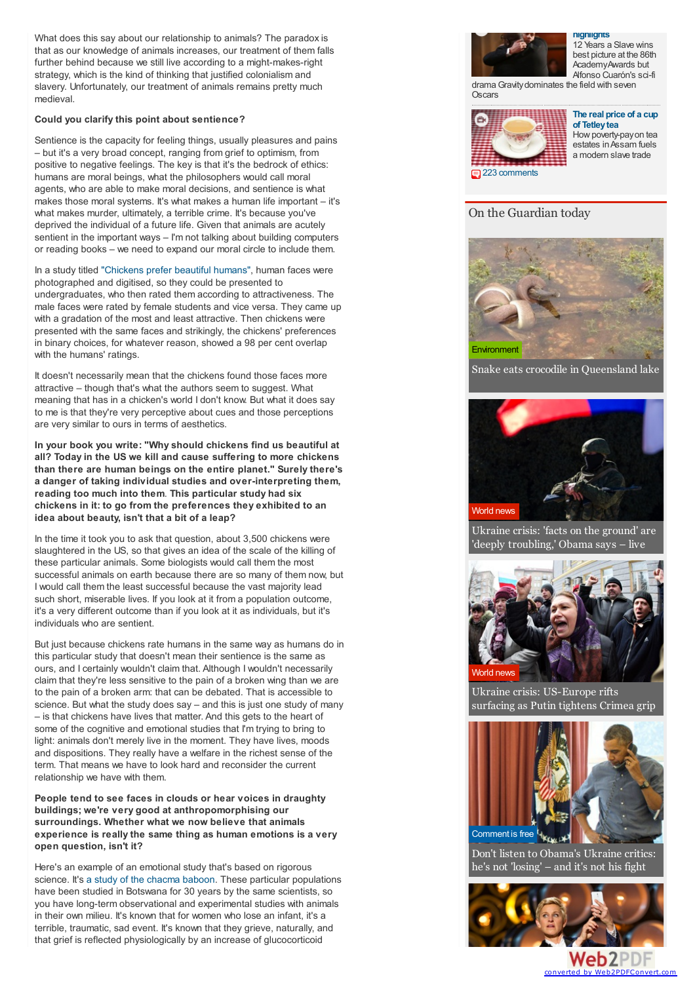What does this say about our relationship to animals? The paradox is that as our knowledge of animals increases, our treatment of them falls further behind because we still live according to a might-makes-right strategy, which is the kind of thinking that justified colonialism and slavery. Unfortunately, our treatment of animals remains pretty much medieval.

## **Could you clarify this point about sentience?**

Sentience is the capacity for feeling things, usually pleasures and pains – but it's a very broad concept, ranging from grief to optimism, from positive to negative feelings. The key is that it's the bedrock of ethics: humans are moral beings, what the philosophers would call moral agents, who are able to make moral decisions, and sentience is what makes those moral systems. It's what makes a human life important – it's what makes murder, ultimately, a terrible crime. It's because you've deprived the individual of a future life. Given that animals are acutely sentient in the important ways - I'm not talking about building computers or reading books – we need to expand our moral circle to include them.

In a study titled ["Chickens](http://cogprints.org/5272/1/ghirlanda_jansson_enquist2002.pdf) prefer beautiful humans", human faces were photographed and digitised, so they could be presented to undergraduates, who then rated them according to attractiveness. The male faces were rated by female students and vice versa. They came up with a gradation of the most and least attractive. Then chickens were presented with the same faces and strikingly, the chickens' preferences in binary choices, for whatever reason, showed a 98 per cent overlap with the humans' ratings.

It doesn't necessarily mean that the chickens found those faces more attractive – though that's what the authors seem to suggest. What meaning that has in a chicken's world I don't know. But what it does say to me is that they're very perceptive about cues and those perceptions are very similar to ours in terms of aesthetics.

**In your book you write: "Why should chickens find us beautiful at all? Today in the US we kill and cause suffering to more chickens than there are human beings on the entire planet." Surely there's a danger of taking individual studies and over-interpreting them, reading too much into them**. **This particular study had six chickens in it: to go from the preferences they exhibited to an idea about beauty, isn't that a bit of a leap?**

In the time it took you to ask that question, about 3,500 chickens were slaughtered in the US, so that gives an idea of the scale of the killing of these particular animals. Some biologists would call them the most successful animals on earth because there are so many of them now, but I would call them the least successful because the vast majority lead such short, miserable lives. If you look at it from a population outcome, it's a very different outcome than if you look at it as individuals, but it's individuals who are sentient.

But just because chickens rate humans in the same way as humans do in this particular study that doesn't mean their sentience is the same as ours, and I certainly wouldn't claim that. Although I wouldn't necessarily claim that they're less sensitive to the pain of a broken wing than we are to the pain of a broken arm: that can be debated. That is accessible to science. But what the study does say – and this is just one study of many – is that chickens have lives that matter. And this gets to the heart of some of the cognitive and emotional studies that I'm trying to bring to light: animals don't merely live in the moment. They have lives, moods and dispositions. They really have a welfare in the richest sense of the term. That means we have to look hard and reconsider the current relationship we have with them.

**People tend to see faces in clouds or hear voices in draughty buildings; we're very good at anthropomorphising our surroundings. Whether what we now believe that animals experience is really the same thing as human emotions is a very open question, isn't it?**

Here's an example of an emotional study that's based on rigorous science. It's a study of the [chacma](http://ukpmc.ac.uk/picrender.cgi?artid=1098343&blobtype=pdf) baboon. These particular populations have been studied in Botswana for 30 years by the same scientists, so you have long-term observational and experimental studies with animals in their own milieu. It's known that for women who lose an infant, it's a terrible, traumatic, sad event. It's known that they grieve, naturally, and that grief is reflected physiologically by an increase of glucocorticoid



**highlights** 12 Years a Slave wins best picture at the 86th AcademyAwards but Alfonso Cuarón's sci-fi

dramaGravitydominates the field with seven **Oscars** 



#### **The real price of a cup of [Tetleytea](http://www.theguardian.com/global-development/video/2014/mar/01/tetley-tea-maids-real-price-cup-tea-video)**

How poverty-pay on tea estates in Assam fuels a modern slave trade

# On the Guardian today



Snake eats crocodile in [Queensland](http://www.theguardian.com/environment/2014/mar/03/snake-eats-crocodile-in-queensland-lake) lake



Ukraine crisis: 'facts on the ground' are 'deeply [troubling,'](http://www.theguardian.com/world/2014/mar/03/ukraine-crisis-russia-control-crimea-live) Obama says – live



Ukraine crisis: [US-Europe](http://www.theguardian.com/world/2014/mar/03/ukraine-crisis-us-europe-putin-crimea) rifts surfacing as Putin tightens Crimea grip



Don't listen to [Obama's](http://www.theguardian.com/commentisfree/2014/mar/03/obama-ukraine-russia-critics-credibility) Ukraine critics: he's not 'losing' – and it's not his fight

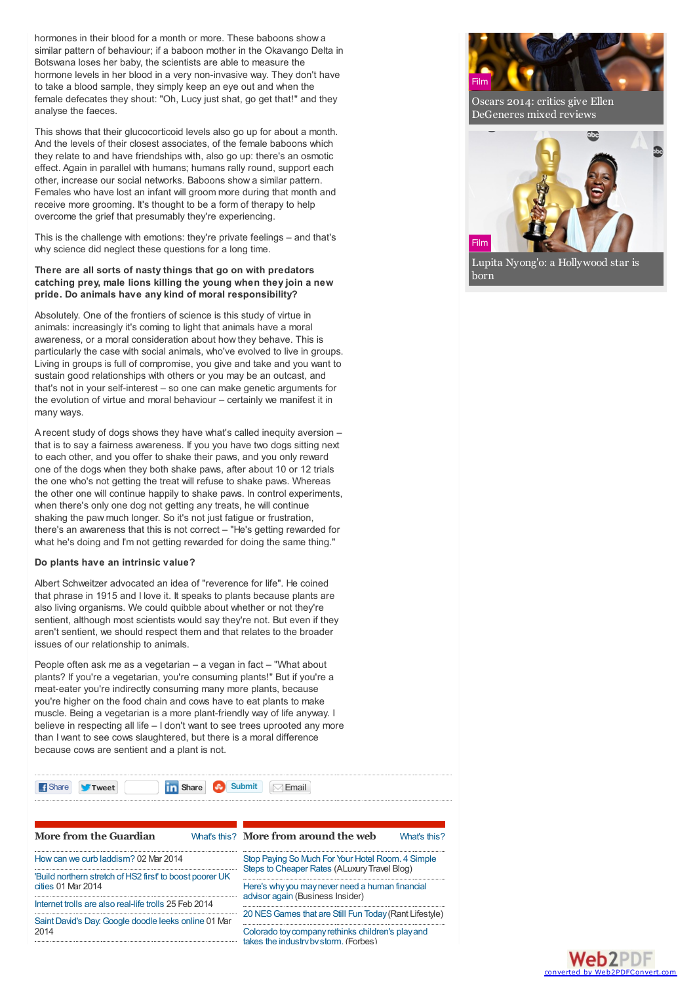hormones in their blood for a month or more. These baboons show a similar pattern of behaviour; if a baboon mother in the Okavango Delta in Botswana loses her baby, the scientists are able to measure the hormone levels in her blood in a very non-invasive way. They don't have to take a blood sample, they simply keep an eye out and when the female defecates they shout: "Oh, Lucy just shat, go get that!" and they analyse the faeces.

This shows that their glucocorticoid levels also go up for about a month. And the levels of their closest associates, of the female baboons which they relate to and have friendships with, also go up: there's an osmotic effect. Again in parallel with humans; humans rally round, support each other, increase our social networks. Baboons show a similar pattern. Females who have lost an infant will groom more during that month and receive more grooming. It's thought to be a form of therapy to help overcome the grief that presumably they're experiencing.

This is the challenge with emotions: they're private feelings – and that's why science did neglect these questions for a long time.

### **There are all sorts of nasty things that go on with predators catching prey, male lions killing the young when they join a new pride. Do animals have any kind of moral responsibility?**

Absolutely. One of the frontiers of science is this study of virtue in animals: increasingly it's coming to light that animals have a moral awareness, or a moral consideration about how they behave. This is particularly the case with social animals, who've evolved to live in groups. Living in groups is full of compromise, you give and take and you want to sustain good relationships with others or you may be an outcast, and that's not in your self-interest – so one can make genetic arguments for the evolution of virtue and moral behaviour – certainly we manifest it in many ways.

A recent study of dogs shows they have what's called inequity aversion – that is to say a fairness awareness. If you you have two dogs sitting next to each other, and you offer to shake their paws, and you only reward one of the dogs when they both shake paws, after about 10 or 12 trials the one who's not getting the treat will refuse to shake paws. Whereas the other one will continue happily to shake paws. In control experiments, when there's only one dog not getting any treats, he will continue shaking the paw much longer. So it's not just fatigue or frustration, there's an awareness that this is not correct – "He's getting rewarded for what he's doing and I'm not getting rewarded for doing the same thing."

# **Do plants have an intrinsic value?**

Albert Schweitzer advocated an idea of "reverence for life". He coined that phrase in 1915 and I love it. It speaks to plants because plants are also living organisms. We could quibble about whether or not they're sentient, although most scientists would say they're not. But even if they aren't sentient, we should respect them and that relates to the broader issues of our relationship to animals.

People often ask me as a vegetarian – a vegan in fact – "What about plants? If you're a vegetarian, you're consuming plants!" But if you're a meat-eater you're indirectly consuming many more plants, because you're higher on the food chain and cows have to eat plants to make muscle. Being a vegetarian is a more plant-friendly way of life anyway. I believe in respecting all life – I don't want to see trees uprooted any more than I want to see cows slaughtered, but there is a moral difference because cows are sentient and a plant is not.



**More from the Guardian** Howcan we curb [laddism?](http://www.guardian.co.uk/lifeandstyle/2014/mar/02/how-can-we-curb-laddism) 02 Mar 2014 'Build [northern](http://www.theguardian.com/uk-news/2014/mar/01/build-hs2-north-first-birmingham-manchester-leeds) stretch ofHS2 first' to boost poorer UK cities 01 Mar 2014 [Internet](http://www.theguardian.com/science/head-quarters/2014/feb/25/internet-trolls-are-also-real-life-trolls) trolls are also real-life trolls 25 Feb 2014 Saint David's Day: Google doodle leeks online 01 Mar 2014 **More from around the web** What's this? Stop Paying So Much For Your Hotel Room. 4 Simple Steps to Cheaper Rates (ALuxury Travel Blog) Here's whyyou [maynever](http://www.businessinsider.com/investment-tips-for-the-99-2012-3) need a human financial advisor again (Business Insider) 20 NES Games that are Still Fun Today (Rant Lifestyle) Colorado [toycompanyrethinks](http://www.forbes.com/sites/andyrobertson/2014/02/28/furby-boom-ubooly-plushies/) children's playand takes the industrybystorm. (Forbes)



Oscars 2014: critics give Ellen [DeGeneres](http://www.theguardian.com/film/2014/mar/03/oscars-2014-ellen-degeneres-the-verdict) mixed reviews



Lupita Nyong'o: a [Hollywood](http://www.theguardian.com/film/2014/mar/03/lupita-nyongo-best-supporting-actress-oscar) star is born

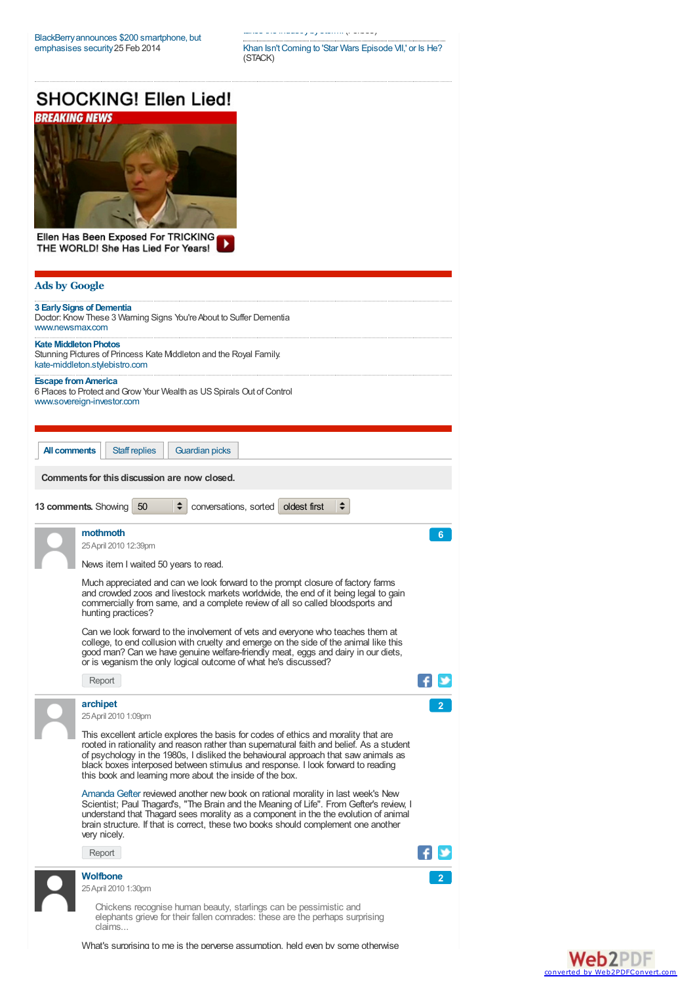takes the industrybystorm. (Forbes)

Khan Isn't Coming to 'Star Wars Episode VII,' or Is He? (STACK)

<span id="page-3-0"></span>

| <b>BREAKING NEWS</b>         | SHOCKING! Ellen Lied!<br>Ellen Has Been Exposed For TRICKING<br>THE WORLD! She Has Lied For Years!                                                                                                                                                                                                                                                                                                                   |                |
|------------------------------|----------------------------------------------------------------------------------------------------------------------------------------------------------------------------------------------------------------------------------------------------------------------------------------------------------------------------------------------------------------------------------------------------------------------|----------------|
| <b>Ads by Google</b>         |                                                                                                                                                                                                                                                                                                                                                                                                                      |                |
| www.newsmax.com              | 3 Early Signs of Dementia<br>Doctor: Know These 3 Warning Signs You're About to Suffer Dementia                                                                                                                                                                                                                                                                                                                      |                |
| <b>Kate Middleton Photos</b> | Stunning Pictures of Princess Kate Middleton and the Royal Family.<br>kate-middleton.stylebistro.com                                                                                                                                                                                                                                                                                                                 |                |
| <b>Escape from America</b>   | 6 Places to Protect and Grow Your Wealth as US Spirals Out of Control<br>www.sovereign-investor.com                                                                                                                                                                                                                                                                                                                  |                |
|                              |                                                                                                                                                                                                                                                                                                                                                                                                                      |                |
| <b>All comments</b>          | <b>Staff replies</b><br><b>Guardian picks</b>                                                                                                                                                                                                                                                                                                                                                                        |                |
|                              | Comments for this discussion are now closed.                                                                                                                                                                                                                                                                                                                                                                         |                |
|                              | ÷<br>÷.<br>13 comments. Showing<br>50<br>conversations, sorted<br>oldest first                                                                                                                                                                                                                                                                                                                                       |                |
|                              |                                                                                                                                                                                                                                                                                                                                                                                                                      |                |
|                              | mothmoth<br>25 April 2010 12:39pm                                                                                                                                                                                                                                                                                                                                                                                    | 6 <sup>1</sup> |
|                              | News item I waited 50 years to read.                                                                                                                                                                                                                                                                                                                                                                                 |                |
|                              | Much appreciated and can we look forward to the prompt closure of factory farms<br>and crowded zoos and livestock markets worldwide, the end of it being legal to gain<br>commercially from same, and a complete review of all so called bloodsports and<br>hunting practices?                                                                                                                                       |                |
|                              | Can we look forward to the involvement of vets and everyone who teaches them at<br>college, to end collusion with cruelty and emerge on the side of the animal like this<br>good man? Can we have genuine welfare-friendly meat, eggs and dairy in our diets,<br>or is veganism the only logical outcome of what he's discussed?                                                                                     |                |
|                              | Report                                                                                                                                                                                                                                                                                                                                                                                                               |                |
|                              | archipet<br>25 April 2010 1:09pm                                                                                                                                                                                                                                                                                                                                                                                     | $\overline{2}$ |
|                              | This excellent article explores the basis for codes of ethics and morality that are<br>rooted in rationality and reason rather than supernatural faith and belief. As a student<br>of psychology in the 1980s, I disliked the behavioural approach that saw animals as<br>black boxes interposed between stimulus and response. I look forward to reading<br>this book and leaming more about the inside of the box. |                |
|                              | Amanda Gefter reviewed another new book on rational morality in last week's New<br>Scientist; Paul Thagard's, "The Brain and the Meaning of Life". From Gefter's review, I<br>understand that Thagard sees morality as a component in the the evolution of animal<br>brain structure. If that is correct, these two books should complement one another<br>very nicely.                                              |                |
|                              | Report                                                                                                                                                                                                                                                                                                                                                                                                               |                |
|                              | Wolfbone<br>25 April 2010 1:30pm                                                                                                                                                                                                                                                                                                                                                                                     |                |
|                              | Chickens recognise human beauty, starlings can be pessimistic and<br>elephants grieve for their fallen comrades: these are the perhaps surprising<br>claims                                                                                                                                                                                                                                                          |                |
|                              | What's surprising to me is the perverse assumption. held even by some otherwise                                                                                                                                                                                                                                                                                                                                      |                |

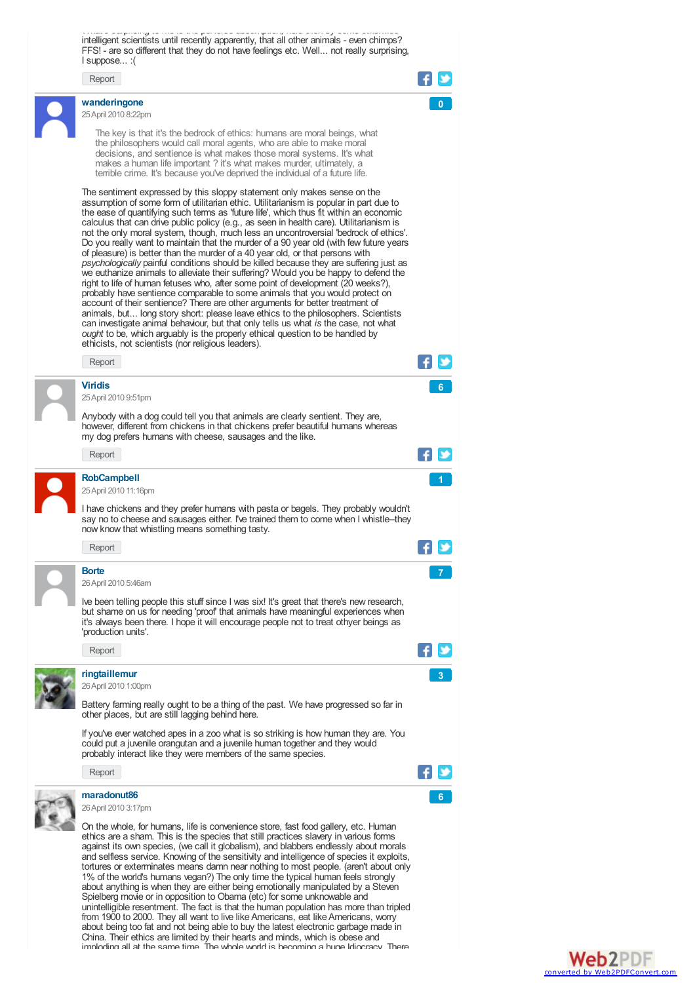

 $Web2PDF$ converted by [Web2PDFConvert.com](http://www.web2pdfconvert.com?ref=PDF)